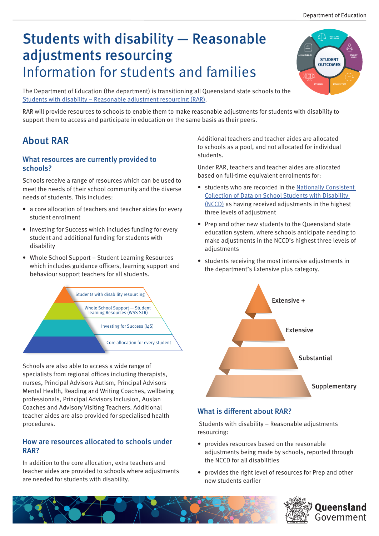**EQUITY AND INCLUSION**

# Students with disability — Reasonable adjustments resourcing Information for students and families

**ACCOUNTABILITY STUDENT STUDENT NEEDS OUTCOMES XIII EFFICIENCY EARLY SUPPORT** 

The Department of Education (the department) is transitioning all Queensland state schools to the [Students with disability – Reasonable adjustment resourcing \(RAR\).](https://education.qld.gov.au/students/students-with-disability)

RAR will provide resources to schools to enable them to make reasonable adjustments for students with disability to support them to access and participate in education on the same basis as their peers.

## About RAR

## What resources are currently provided to schools?

Schools receive a range of resources which can be used to meet the needs of their school community and the diverse needs of students. This includes:

- a core allocation of teachers and teacher aides for every student enrolment
- Investing for Success which includes funding for every student and additional funding for students with disability
- Whole School Support Student Learning Resources which includes guidance officers, learning support and behaviour support teachers for all students.



Schools are also able to access a wide range of specialists from regional offices including therapists, nurses, Principal Advisors Autism, Principal Advisors Mental Health, Reading and Writing Coaches, wellbeing professionals, Principal Advisors Inclusion, Auslan Coaches and Advisory Visiting Teachers. Additional teacher aides are also provided for specialised health procedures.

## How are resources allocated to schools under RAR?

In addition to the core allocation, extra teachers and teacher aides are provided to schools where adjustments are needed for students with disability.

Additional teachers and teacher aides are allocated to schools as a pool, and not allocated for individual students.

Under RAR, teachers and teacher aides are allocated based on full-time equivalent enrolments for:

- students who are recorded in the [Nationally Consistent](https://www.nccd.edu.au/)  [Collection of Data on School Students with Disability](https://www.nccd.edu.au/)  [\(NCCD\)](https://www.nccd.edu.au/) as having received adjustments in the highest three levels of adjustment
- Prep and other new students to the Queensland state education system, where schools anticipate needing to make adjustments in the NCCD's highest three levels of adiustments
- students receiving the most intensive adjustments in the department's Extensive plus category.



## What is different about RAR?

 Students with disability – Reasonable adjustments resourcing:

- provides resources based on the reasonable adjustments being made by schools, reported through the NCCD for all disabilities
- provides the right level of resources for Prep and other new students earlier

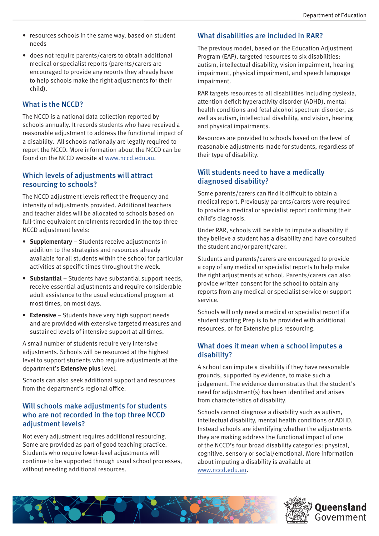- resources schools in the same way, based on student needs
- does not require parents/carers to obtain additional medical or specialist reports (parents/carers are encouraged to provide any reports they already have to help schools make the right adjustments for their child).

### What is the NCCD?

The NCCD is a national data collection reported by schools annually. It records students who have received a reasonable adjustment to address the functional impact of a disability. All schools nationally are legally required to report the NCCD. More information about the NCCD can be found on the NCCD website at [www.nccd.edu.au](https://www.nccd.edu.au/).

## Which levels of adjustments will attract resourcing to schools?

The NCCD adjustment levels reflect the frequency and intensity of adjustments provided. Additional teachers and teacher aides will be allocated to schools based on full-time equivalent enrolments recorded in the top three NCCD adjustment levels:

- **• Supplementary** Students receive adjustments in addition to the strategies and resources already available for all students within the school for particular activities at specific times throughout the week.
- **• Substantial** Students have substantial support needs, receive essential adjustments and require considerable adult assistance to the usual educational program at most times, on most days.
- **• Extensive** Students have very high support needs and are provided with extensive targeted measures and sustained levels of intensive support at all times.

A small number of students require very intensive adjustments. Schools will be resourced at the highest level to support students who require adjustments at the department's **Extensive plus** level.

Schools can also seek additional support and resources from the department's regional office.

## Will schools make adjustments for students who are not recorded in the top three NCCD adjustment levels?

Not every adjustment requires additional resourcing. Some are provided as part of good teaching practice. Students who require lower-level adjustments will continue to be supported through usual school processes, without needing additional resources.

## What disabilities are included in RAR?

The previous model, based on the Education Adjustment Program (EAP), targeted resources to six disabilities: autism, intellectual disability, vision impairment, hearing impairment, physical impairment, and speech language impairment.

RAR targets resources to all disabilities including dyslexia, attention deficit hyperactivity disorder (ADHD), mental health conditions and fetal alcohol spectrum disorder, as well as autism, intellectual disability, and vision, hearing and physical impairments.

Resources are provided to schools based on the level of reasonable adjustments made for students, regardless of their type of disability.

## Will students need to have a medically diagnosed disability?

Some parents/carers can find it difficult to obtain a medical report. Previously parents/carers were required to provide a medical or specialist report confirming their child's diagnosis.

Under RAR, schools will be able to impute a disability if they believe a student has a disability and have consulted the student and/or parent/carer.

Students and parents/carers are encouraged to provide a copy of any medical or specialist reports to help make the right adjustments at school. Parents/carers can also provide written consent for the school to obtain any reports from any medical or specialist service or support service.

Schools will only need a medical or specialist report if a student starting Prep is to be provided with additional resources, or for Extensive plus resourcing.

## What does it mean when a school imputes a disability?

A school can impute a disability if they have reasonable grounds, supported by evidence, to make such a judgement. The evidence demonstrates that the student's need for adjustment(s) has been identified and arises from characteristics of disability.

Schools cannot diagnose a disability such as autism, intellectual disability, mental health conditions or ADHD. Instead schools are identifying whether the adjustments they are making address the functional impact of one of the NCCD's four broad disability categories: physical, cognitive, sensory or social/emotional. More information about imputing a disability is available at [www.nccd.edu.au](http://www.nccd.edu.au/).



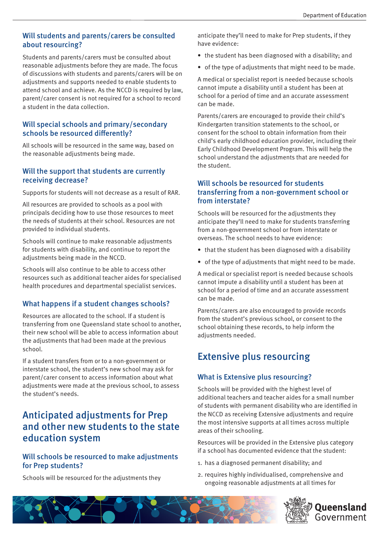### Will students and parents/carers be consulted about resourcing?

Students and parents/carers must be consulted about reasonable adjustments before they are made. The focus of discussions with students and parents/carers will be on adjustments and supports needed to enable students to attend school and achieve. As the NCCD is required by law, parent/carer consent is not required for a school to record a student in the data collection.

## Will special schools and primary/secondary schools be resourced differently?

All schools will be resourced in the same way, based on the reasonable adjustments being made.

## Will the support that students are currently receiving decrease?

Supports for students will not decrease as a result of RAR.

All resources are provided to schools as a pool with principals deciding how to use those resources to meet the needs of students at their school. Resources are not provided to individual students.

Schools will continue to make reasonable adjustments for students with disability, and continue to report the adjustments being made in the NCCD.

Schools will also continue to be able to access other resources such as additional teacher aides for specialised health procedures and departmental specialist services.

## What happens if a student changes schools?

Resources are allocated to the school. If a student is transferring from one Queensland state school to another, their new school will be able to access information about the adjustments that had been made at the previous school.

If a student transfers from or to a non-government or interstate school, the student's new school may ask for parent/carer consent to access information about what adjustments were made at the previous school, to assess the student's needs.

## Anticipated adjustments for Prep and other new students to the state education system

## Will schools be resourced to make adjustments for Prep students?

Schools will be resourced for the adjustments they

anticipate they'll need to make for Prep students, if they have evidence:

- the student has been diagnosed with a disability; and
- of the type of adjustments that might need to be made.

A medical or specialist report is needed because schools cannot impute a disability until a student has been at school for a period of time and an accurate assessment can be made.

Parents/carers are encouraged to provide their child's Kindergarten transition statements to the school, or consent for the school to obtain information from their child's early childhood education provider, including their Early Childhood Development Program. This will help the school understand the adjustments that are needed for the student.

## Will schools be resourced for students transferring from a non-government school or from interstate?

Schools will be resourced for the adjustments they anticipate they'll need to make for students transferring from a non-government school or from interstate or overseas. The school needs to have evidence:

- that the student has been diagnosed with a disability
- of the type of adjustments that might need to be made.

A medical or specialist report is needed because schools cannot impute a disability until a student has been at school for a period of time and an accurate assessment can be made.

Parents/carers are also encouraged to provide records from the student's previous school, or consent to the school obtaining these records, to help inform the adjustments needed.

## Extensive plus resourcing

## What is Extensive plus resourcing?

Schools will be provided with the highest level of additional teachers and teacher aides for a small number of students with permanent disability who are identified in the NCCD as receiving Extensive adjustments and require the most intensive supports at all times across multiple areas of their schooling.

Resources will be provided in the Extensive plus category if a school has documented evidence that the student:

- 1. has a diagnosed permanent disability; and
- 2. requires highly individualised, comprehensive and ongoing reasonable adjustments at all times for